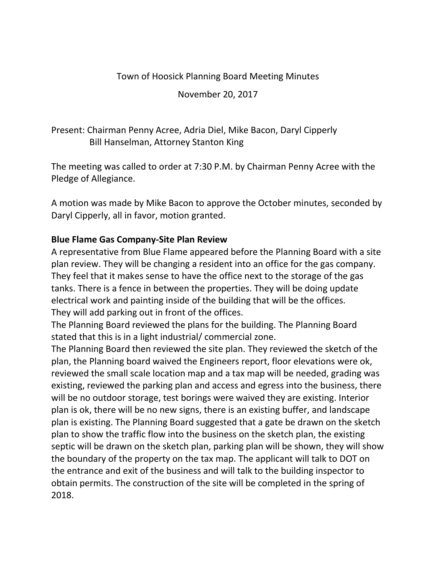#### Town of Hoosick Planning Board Meeting Minutes

November 20, 2017

## Present: Chairman Penny Acree, Adria Diel, Mike Bacon, Daryl Cipperly Bill Hanselman, Attorney Stanton King

The meeting was called to order at 7:30 P.M. by Chairman Penny Acree with the Pledge of Allegiance.

A motion was made by Mike Bacon to approve the October minutes, seconded by Daryl Cipperly, all in favor, motion granted.

#### **Blue Flame Gas Company-Site Plan Review**

A representative from Blue Flame appeared before the Planning Board with a site plan review. They will be changing a resident into an office for the gas company. They feel that it makes sense to have the office next to the storage of the gas tanks. There is a fence in between the properties. They will be doing update electrical work and painting inside of the building that will be the offices. They will add parking out in front of the offices.

The Planning Board reviewed the plans for the building. The Planning Board stated that this is in a light industrial/ commercial zone.

The Planning Board then reviewed the site plan. They reviewed the sketch of the plan, the Planning board waived the Engineers report, floor elevations were ok, reviewed the small scale location map and a tax map will be needed, grading was existing, reviewed the parking plan and access and egress into the business, there will be no outdoor storage, test borings were waived they are existing. Interior plan is ok, there will be no new signs, there is an existing buffer, and landscape plan is existing. The Planning Board suggested that a gate be drawn on the sketch plan to show the traffic flow into the business on the sketch plan, the existing septic will be drawn on the sketch plan, parking plan will be shown, they will show the boundary of the property on the tax map. The applicant will talk to DOT on the entrance and exit of the business and will talk to the building inspector to obtain permits. The construction of the site will be completed in the spring of 2018.